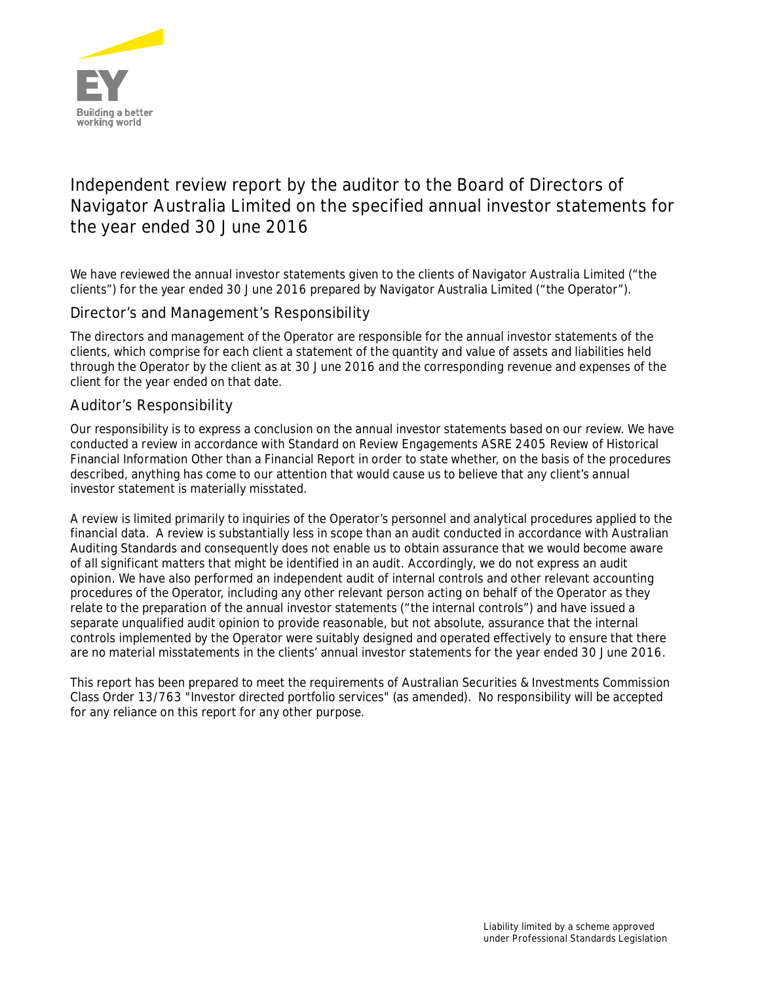

# **Independent review report by the auditor to the Board of Directors of Navigator Australia Limited on the specified annual investor statements for the year ended 30 June 2016**

We have reviewed the annual investor statements given to the clients of Navigator Australia Limited ("the clients") for the year ended 30 June 2016 prepared by Navigator Australia Limited ("the Operator").

### Director's and Management's Responsibility

The directors and management of the Operator are responsible for the annual investor statements of the clients, which comprise for each client a statement of the quantity and value of assets and liabilities held through the Operator by the client as at 30 June 2016 and the corresponding revenue and expenses of the client for the year ended on that date.

### Auditor's Responsibility

Our responsibility is to express a conclusion on the annual investor statements based on our review. We have conducted a review in accordance with Standard on Review Engagements ASRE 2405 *Review of Historical Financial Information Other than a Financial Report* in order to state whether, on the basis of the procedures described, anything has come to our attention that would cause us to believe that any client's annual investor statement is materially misstated.

A review is limited primarily to inquiries of the Operator's personnel and analytical procedures applied to the financial data. A review is substantially less in scope than an audit conducted in accordance with Australian Auditing Standards and consequently does not enable us to obtain assurance that we would become aware of all significant matters that might be identified in an audit. Accordingly, we do not express an audit opinion. We have also performed an independent audit of internal controls and other relevant accounting procedures of the Operator, including any other relevant person acting on behalf of the Operator as they relate to the preparation of the annual investor statements ("the internal controls") and have issued a separate unqualified audit opinion to provide reasonable, but not absolute, assurance that the internal controls implemented by the Operator were suitably designed and operated effectively to ensure that there are no material misstatements in the clients' annual investor statements for the year ended 30 June 2016.

This report has been prepared to meet the requirements of Australian Securities & Investments Commission Class Order 13/763 "Investor directed portfolio services" (as amended). No responsibility will be accepted for any reliance on this report for any other purpose.